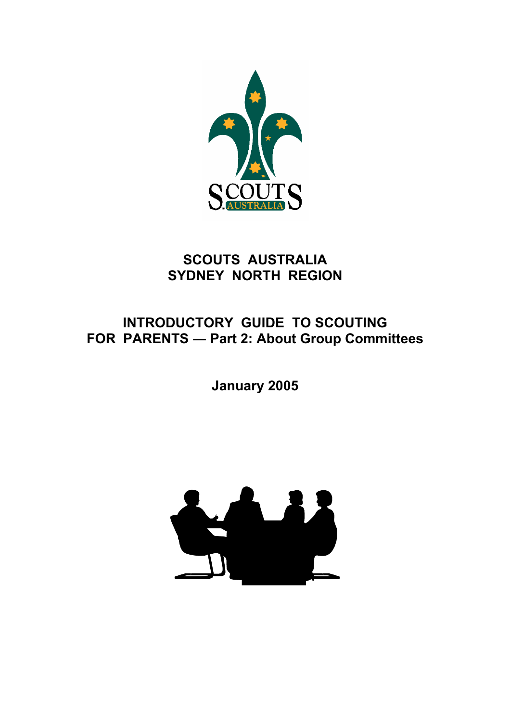

# **SCOUTS AUSTRALIA SYDNEY NORTH REGION**

# **INTRODUCTORY GUIDE TO SCOUTING FOR PARENTS ― Part 2: About Group Committees**

**January 2005** 

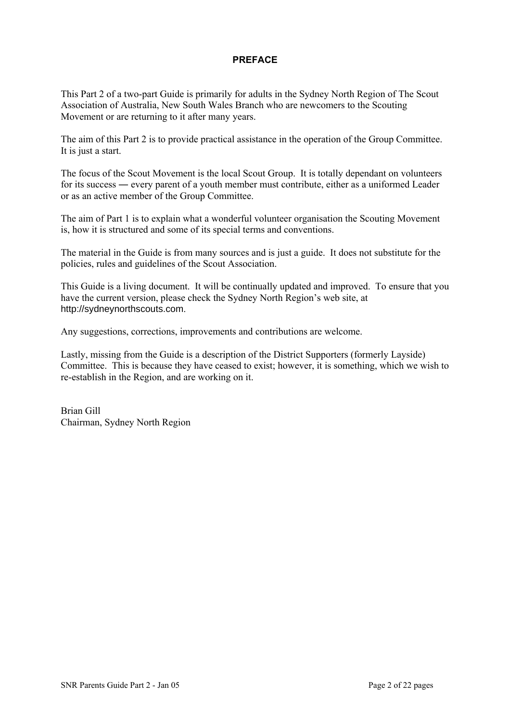# **PREFACE**

This Part 2 of a two-part Guide is primarily for adults in the Sydney North Region of The Scout Association of Australia, New South Wales Branch who are newcomers to the Scouting Movement or are returning to it after many years.

The aim of this Part 2 is to provide practical assistance in the operation of the Group Committee. It is just a start.

The focus of the Scout Movement is the local Scout Group. It is totally dependant on volunteers for its success ― every parent of a youth member must contribute, either as a uniformed Leader or as an active member of the Group Committee.

The aim of Part 1 is to explain what a wonderful volunteer organisation the Scouting Movement is, how it is structured and some of its special terms and conventions.

The material in the Guide is from many sources and is just a guide. It does not substitute for the policies, rules and guidelines of the Scout Association.

This Guide is a living document. It will be continually updated and improved. To ensure that you have the current version, please check the Sydney North Region's web site, at http://sydneynorthscouts.com.

Any suggestions, corrections, improvements and contributions are welcome.

Lastly, missing from the Guide is a description of the District Supporters (formerly Layside) Committee. This is because they have ceased to exist; however, it is something, which we wish to re-establish in the Region, and are working on it.

Brian Gill Chairman, Sydney North Region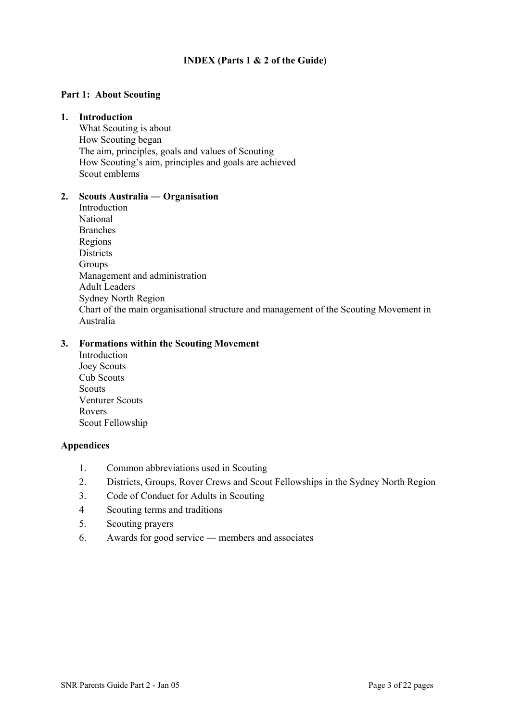# **INDEX (Parts 1 & 2 of the Guide)**

## **Part 1: About Scouting**

#### **1. Introduction**

What Scouting is about How Scouting began The aim, principles, goals and values of Scouting How Scouting's aim, principles and goals are achieved Scout emblems

#### **2. Scouts Australia ― Organisation**

Introduction National Branches Regions **Districts** Groups Management and administration Adult Leaders Sydney North Region Chart of the main organisational structure and management of the Scouting Movement in Australia

# **3. Formations within the Scouting Movement**

Introduction Joey Scouts Cub Scouts **Scouts** Venturer Scouts Rovers Scout Fellowship

#### **Appendices**

- 1. Common abbreviations used in Scouting
- 2. Districts, Groups, Rover Crews and Scout Fellowships in the Sydney North Region
- 3. Code of Conduct for Adults in Scouting
- 4 Scouting terms and traditions
- 5. Scouting prayers
- 6. Awards for good service ― members and associates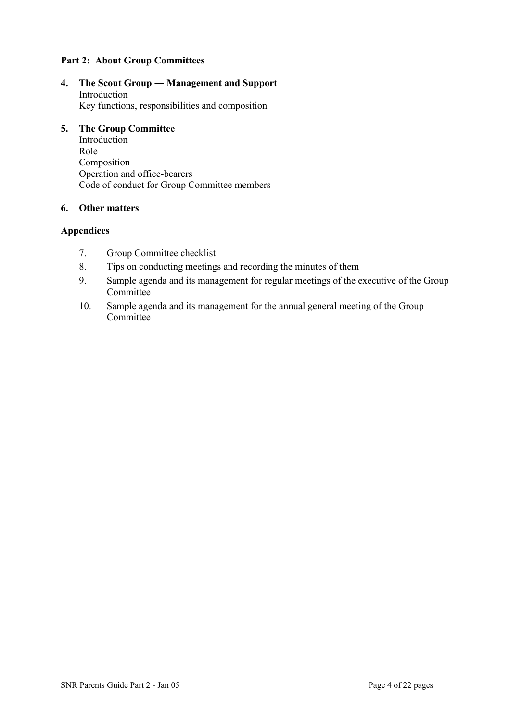# **Part 2: About Group Committees**

**4. The Scout Group ― Management and Support**  Introduction Key functions, responsibilities and composition

#### **5. The Group Committee**

Introduction Role Composition Operation and office-bearers Code of conduct for Group Committee members

## **6. Other matters**

# **Appendices**

- 7. Group Committee checklist
- 8. Tips on conducting meetings and recording the minutes of them
- 9. Sample agenda and its management for regular meetings of the executive of the Group **Committee**
- 10. Sample agenda and its management for the annual general meeting of the Group **Committee**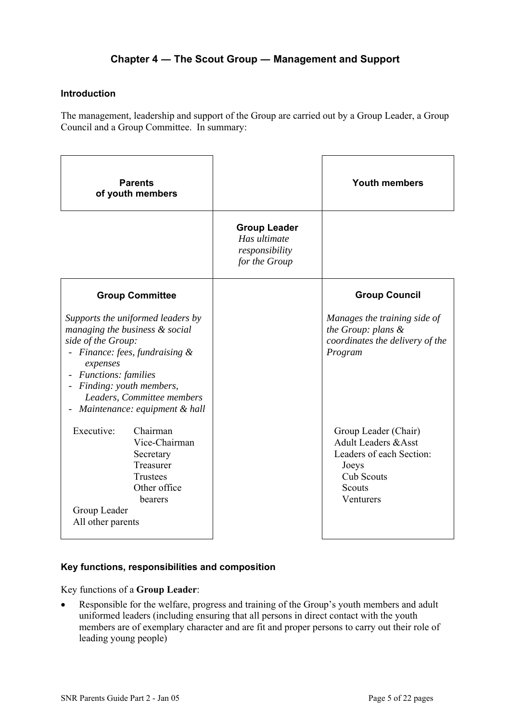# **Chapter 4 ― The Scout Group ― Management and Support**

## **Introduction**

The management, leadership and support of the Group are carried out by a Group Leader, a Group Council and a Group Committee. In summary:

| <b>Parents</b><br>of youth members                                                                                                                                                                                                                            |                                                                        | <b>Youth members</b>                                                                                                                     |
|---------------------------------------------------------------------------------------------------------------------------------------------------------------------------------------------------------------------------------------------------------------|------------------------------------------------------------------------|------------------------------------------------------------------------------------------------------------------------------------------|
|                                                                                                                                                                                                                                                               | <b>Group Leader</b><br>Has ultimate<br>responsibility<br>for the Group |                                                                                                                                          |
| <b>Group Committee</b>                                                                                                                                                                                                                                        |                                                                        | <b>Group Council</b>                                                                                                                     |
| Supports the uniformed leaders by<br>managing the business & social<br>side of the Group:<br>Finance: fees, fundraising &<br>expenses<br><i>Functions: families</i><br>Finding: youth members,<br>Leaders, Committee members<br>Maintenance: equipment & hall |                                                                        | Manages the training side of<br>the Group: plans &<br>coordinates the delivery of the<br>Program                                         |
| Executive:<br>Chairman<br>Vice-Chairman<br>Secretary<br>Treasurer<br>Trustees<br>Other office<br>bearers<br>Group Leader<br>All other parents                                                                                                                 |                                                                        | Group Leader (Chair)<br><b>Adult Leaders &amp; Asst</b><br>Leaders of each Section:<br>Joeys<br><b>Cub Scouts</b><br>Scouts<br>Venturers |

# **Key functions, responsibilities and composition**

Key functions of a **Group Leader**:

• Responsible for the welfare, progress and training of the Group's youth members and adult uniformed leaders (including ensuring that all persons in direct contact with the youth members are of exemplary character and are fit and proper persons to carry out their role of leading young people)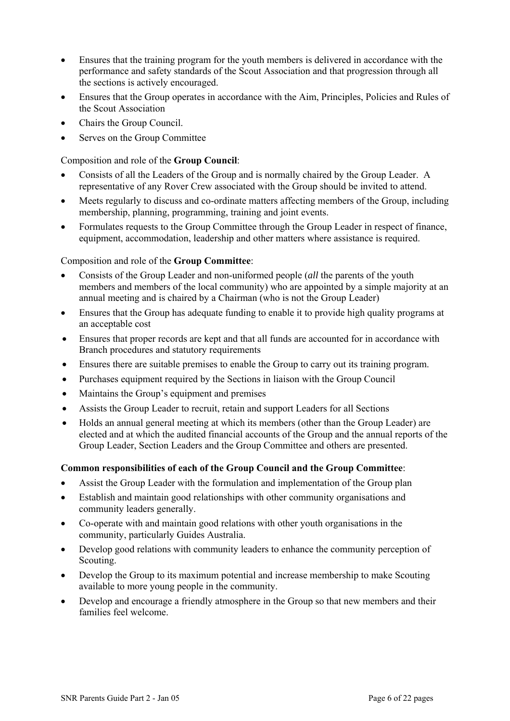- Ensures that the training program for the youth members is delivered in accordance with the performance and safety standards of the Scout Association and that progression through all the sections is actively encouraged.
- Ensures that the Group operates in accordance with the Aim, Principles, Policies and Rules of the Scout Association
- Chairs the Group Council.
- Serves on the Group Committee

Composition and role of the **Group Council**:

- Consists of all the Leaders of the Group and is normally chaired by the Group Leader. A representative of any Rover Crew associated with the Group should be invited to attend.
- Meets regularly to discuss and co-ordinate matters affecting members of the Group, including membership, planning, programming, training and joint events.
- Formulates requests to the Group Committee through the Group Leader in respect of finance, equipment, accommodation, leadership and other matters where assistance is required.

Composition and role of the **Group Committee**:

- Consists of the Group Leader and non-uniformed people (*all* the parents of the youth members and members of the local community) who are appointed by a simple majority at an annual meeting and is chaired by a Chairman (who is not the Group Leader)
- Ensures that the Group has adequate funding to enable it to provide high quality programs at an acceptable cost
- Ensures that proper records are kept and that all funds are accounted for in accordance with Branch procedures and statutory requirements
- Ensures there are suitable premises to enable the Group to carry out its training program.
- Purchases equipment required by the Sections in liaison with the Group Council
- Maintains the Group's equipment and premises
- Assists the Group Leader to recruit, retain and support Leaders for all Sections
- Holds an annual general meeting at which its members (other than the Group Leader) are elected and at which the audited financial accounts of the Group and the annual reports of the Group Leader, Section Leaders and the Group Committee and others are presented.

# **Common responsibilities of each of the Group Council and the Group Committee**:

- Assist the Group Leader with the formulation and implementation of the Group plan
- Establish and maintain good relationships with other community organisations and community leaders generally.
- Co-operate with and maintain good relations with other youth organisations in the community, particularly Guides Australia.
- Develop good relations with community leaders to enhance the community perception of Scouting.
- Develop the Group to its maximum potential and increase membership to make Scouting available to more young people in the community.
- Develop and encourage a friendly atmosphere in the Group so that new members and their families feel welcome.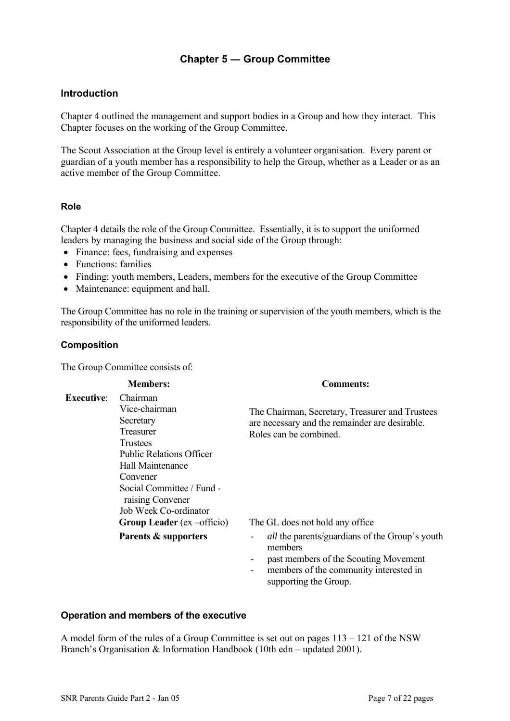# **Chapter 5 ― Group Committee**

# **Introduction**

Chapter 4 outlined the management and support bodies in a Group and how they interact. This Chapter focuses on the working of the Group Committee.

The Scout Association at the Group level is entirely a volunteer organisation. Every parent or guardian of a youth member has a responsibility to help the Group, whether as a Leader or as an active member of the Group Committee.

#### **Role**

Chapter 4 details the role of the Group Committee. Essentially, it is to support the uniformed leaders by managing the business and social side of the Group through:

- Finance: fees, fundraising and expenses
- Functions: families
- Finding: youth members, Leaders, members for the executive of the Group Committee
- Maintenance: equipment and hall.

The Group Committee has no role in the training or supervision of the youth members, which is the responsibility of the uniformed leaders.

#### **Composition**

The Group Committee consists of:

|                   | <b>Members:</b>                                                                                                                                                                     | <b>Comments:</b>                                                                                                                                    |
|-------------------|-------------------------------------------------------------------------------------------------------------------------------------------------------------------------------------|-----------------------------------------------------------------------------------------------------------------------------------------------------|
| <b>Executive:</b> | Chairman<br>Vice-chairman<br>Secretary<br>Treasurer<br>Trustees<br><b>Public Relations Officer</b><br>Hall Maintenance<br>Convener<br>Social Committee / Fund -<br>raising Convener | The Chairman, Secretary, Treasurer and Trustees<br>are necessary and the remainder are desirable.<br>Roles can be combined.                         |
|                   | Job Week Co-ordinator<br>Group Leader $(ex -officio)$                                                                                                                               | The GL does not hold any office.                                                                                                                    |
|                   | Parents & supporters                                                                                                                                                                | <i>all</i> the parents/guardians of the Group's youth<br>members<br>past members of the Scouting Movement<br>mambars of the community interested in |

members of the community interested in supporting the Group.

## **Operation and members of the executive**

A model form of the rules of a Group Committee is set out on pages 113 – 121 of the NSW Branch's Organisation & Information Handbook (10th edn – updated 2001).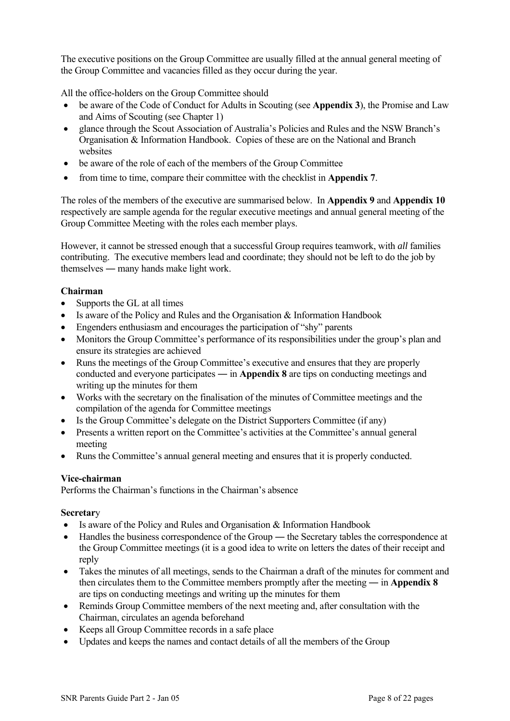The executive positions on the Group Committee are usually filled at the annual general meeting of the Group Committee and vacancies filled as they occur during the year.

All the office-holders on the Group Committee should

- be aware of the Code of Conduct for Adults in Scouting (see **Appendix 3**), the Promise and Law and Aims of Scouting (see Chapter 1)
- glance through the Scout Association of Australia's Policies and Rules and the NSW Branch's Organisation & Information Handbook. Copies of these are on the National and Branch websites
- be aware of the role of each of the members of the Group Committee
- from time to time, compare their committee with the checklist in **Appendix 7**.

The roles of the members of the executive are summarised below. In **Appendix 9** and **Appendix 10** respectively are sample agenda for the regular executive meetings and annual general meeting of the Group Committee Meeting with the roles each member plays.

However, it cannot be stressed enough that a successful Group requires teamwork, with *all* families contributing. The executive members lead and coordinate; they should not be left to do the job by themselves ― many hands make light work.

# **Chairman**

- Supports the GL at all times
- Is aware of the Policy and Rules and the Organisation & Information Handbook
- Engenders enthusiasm and encourages the participation of "shy" parents
- Monitors the Group Committee's performance of its responsibilities under the group's plan and ensure its strategies are achieved
- Runs the meetings of the Group Committee's executive and ensures that they are properly conducted and everyone participates ― in **Appendix 8** are tips on conducting meetings and writing up the minutes for them
- Works with the secretary on the finalisation of the minutes of Committee meetings and the compilation of the agenda for Committee meetings
- Is the Group Committee's delegate on the District Supporters Committee (if any)
- Presents a written report on the Committee's activities at the Committee's annual general meeting
- Runs the Committee's annual general meeting and ensures that it is properly conducted.

# **Vice-chairman**

Performs the Chairman's functions in the Chairman's absence

#### **Secretar**y

- Is aware of the Policy and Rules and Organisation & Information Handbook
- Handles the business correspondence of the Group the Secretary tables the correspondence at the Group Committee meetings (it is a good idea to write on letters the dates of their receipt and reply
- Takes the minutes of all meetings, sends to the Chairman a draft of the minutes for comment and then circulates them to the Committee members promptly after the meeting ― in **Appendix 8** are tips on conducting meetings and writing up the minutes for them
- Reminds Group Committee members of the next meeting and, after consultation with the Chairman, circulates an agenda beforehand
- Keeps all Group Committee records in a safe place
- Updates and keeps the names and contact details of all the members of the Group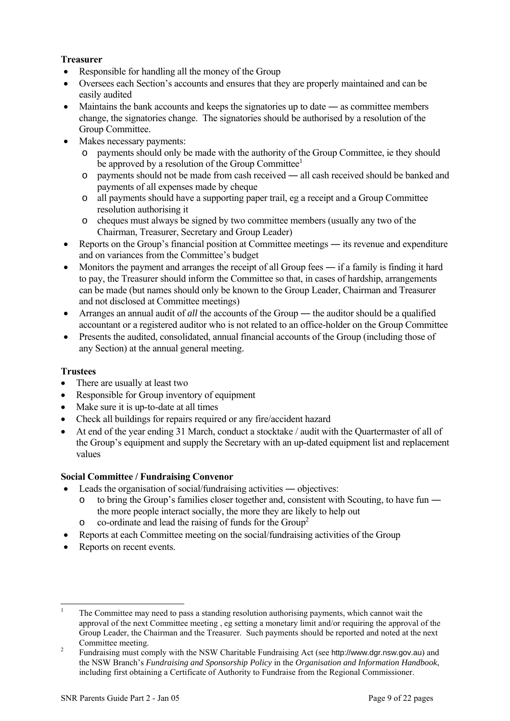# **Treasurer**

- Responsible for handling all the money of the Group
- Oversees each Section's accounts and ensures that they are properly maintained and can be easily audited
- Maintains the bank accounts and keeps the signatories up to date as committee members change, the signatories change. The signatories should be authorised by a resolution of the Group Committee.
- Makes necessary payments:
	- o payments should only be made with the authority of the Group Committee, ie they should be approved by a resolution of the Group Committee<sup>1</sup>
	- o payments should not be made from cash received ― all cash received should be banked and payments of all expenses made by cheque
	- o all payments should have a supporting paper trail, eg a receipt and a Group Committee resolution authorising it
	- o cheques must always be signed by two committee members (usually any two of the Chairman, Treasurer, Secretary and Group Leader)
- Reports on the Group's financial position at Committee meetings its revenue and expenditure and on variances from the Committee's budget
- Monitors the payment and arranges the receipt of all Group fees if a family is finding it hard to pay, the Treasurer should inform the Committee so that, in cases of hardship, arrangements can be made (but names should only be known to the Group Leader, Chairman and Treasurer and not disclosed at Committee meetings)
- Arranges an annual audit of *all* the accounts of the Group the auditor should be a qualified accountant or a registered auditor who is not related to an office-holder on the Group Committee
- Presents the audited, consolidated, annual financial accounts of the Group (including those of any Section) at the annual general meeting.

# **Trustees**

l

- There are usually at least two
- Responsible for Group inventory of equipment
- Make sure it is up-to-date at all times
- Check all buildings for repairs required or any fire/accident hazard
- At end of the year ending 31 March, conduct a stocktake / audit with the Quartermaster of all of the Group's equipment and supply the Secretary with an up-dated equipment list and replacement values

# **Social Committee / Fundraising Convenor**

- Leads the organisation of social/fundraising activities objectives:
	- o to bring the Group's families closer together and, consistent with Scouting, to have fun ― the more people interact socially, the more they are likely to help out
	- $\circ$  co-ordinate and lead the raising of funds for the Group<sup>[2](#page-8-1)</sup>
- Reports at each Committee meeting on the social/fundraising activities of the Group
- Reports on recent events.

<span id="page-8-0"></span><sup>1</sup> The Committee may need to pass a standing resolution authorising payments, which cannot wait the approval of the next Committee meeting , eg setting a monetary limit and/or requiring the approval of the Group Leader, the Chairman and the Treasurer. Such payments should be reported and noted at the next Committee meeting. 2 Fundraising must comply with the NSW Charitable Fundraising Act (see http://www.dgr.nsw.gov.au) and

<span id="page-8-1"></span>the NSW Branch's *Fundraising and Sponsorship Policy* in the *Organisation and Information Handbook*, including first obtaining a Certificate of Authority to Fundraise from the Regional Commissioner.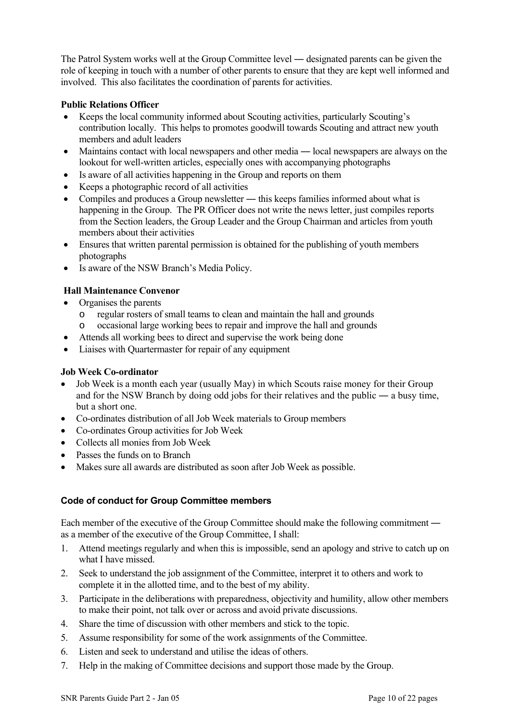The Patrol System works well at the Group Committee level ― designated parents can be given the role of keeping in touch with a number of other parents to ensure that they are kept well informed and involved. This also facilitates the coordination of parents for activities.

# **Public Relations Officer**

- Keeps the local community informed about Scouting activities, particularly Scouting's contribution locally. This helps to promotes goodwill towards Scouting and attract new youth members and adult leaders
- Maintains contact with local newspapers and other media local newspapers are always on the lookout for well-written articles, especially ones with accompanying photographs
- Is aware of all activities happening in the Group and reports on them
- Keeps a photographic record of all activities
- Compiles and produces a Group newsletter this keeps families informed about what is happening in the Group. The PR Officer does not write the news letter, just compiles reports from the Section leaders, the Group Leader and the Group Chairman and articles from youth members about their activities
- Ensures that written parental permission is obtained for the publishing of youth members photographs
- Is aware of the NSW Branch's Media Policy.

# **Hall Maintenance Convenor**

- Organises the parents
	- o regular rosters of small teams to clean and maintain the hall and grounds
	- o occasional large working bees to repair and improve the hall and grounds
- Attends all working bees to direct and supervise the work being done
- Liaises with Quartermaster for repair of any equipment

# **Job Week Co-ordinator**

- Job Week is a month each year (usually May) in which Scouts raise money for their Group and for the NSW Branch by doing odd jobs for their relatives and the public ― a busy time, but a short one.
- Co-ordinates distribution of all Job Week materials to Group members
- Co-ordinates Group activities for Job Week
- Collects all monies from Job Week
- Passes the funds on to Branch
- Makes sure all awards are distributed as soon after Job Week as possible.

# **Code of conduct for Group Committee members**

Each member of the executive of the Group Committee should make the following commitment ― as a member of the executive of the Group Committee, I shall:

- 1. Attend meetings regularly and when this is impossible, send an apology and strive to catch up on what I have missed.
- 2. Seek to understand the job assignment of the Committee, interpret it to others and work to complete it in the allotted time, and to the best of my ability.
- 3. Participate in the deliberations with preparedness, objectivity and humility, allow other members to make their point, not talk over or across and avoid private discussions.
- 4. Share the time of discussion with other members and stick to the topic.
- 5. Assume responsibility for some of the work assignments of the Committee.
- 6. Listen and seek to understand and utilise the ideas of others.
- 7. Help in the making of Committee decisions and support those made by the Group.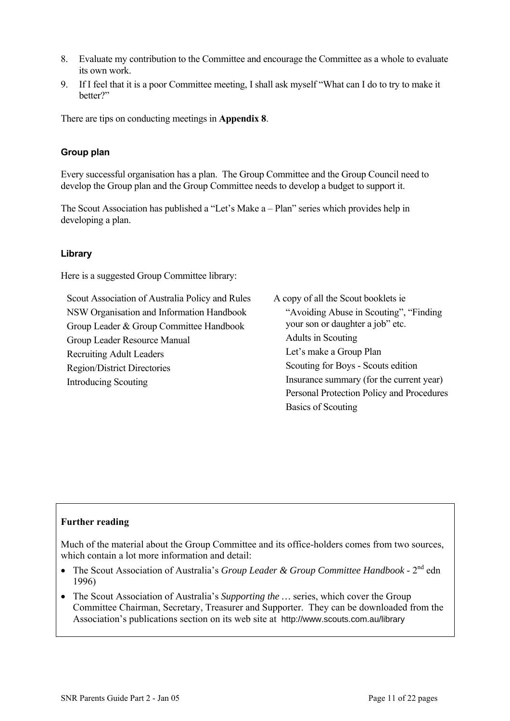- 8. Evaluate my contribution to the Committee and encourage the Committee as a whole to evaluate its own work.
- 9. If I feel that it is a poor Committee meeting, I shall ask myself "What can I do to try to make it better?"

There are tips on conducting meetings in **Appendix 8**.

# **Group plan**

Every successful organisation has a plan. The Group Committee and the Group Council need to develop the Group plan and the Group Committee needs to develop a budget to support it.

The Scout Association has published a "Let's Make a – Plan" series which provides help in developing a plan.

# **Library**

Here is a suggested Group Committee library:

Scout Association of Australia Policy and Rules NSW Organisation and Information Handbook Group Leader & Group Committee Handbook Group Leader Resource Manual Recruiting Adult Leaders Region/District Directories Introducing Scouting

A copy of all the Scout booklets ie "Avoiding Abuse in Scouting", "Finding your son or daughter a job" etc. Adults in Scouting Let's make a Group Plan Scouting for Boys - Scouts edition Insurance summary (for the current year) Personal Protection Policy and Procedures Basics of Scouting

# **Further reading**

Much of the material about the Group Committee and its office-holders comes from two sources, which contain a lot more information and detail:

- The Scout Association of Australia's *Group Leader & Group Committee Handbook* 2<sup>nd</sup> edn 1996)
- The Scout Association of Australia's *Supporting the* ... series, which cover the Group Committee Chairman, Secretary, Treasurer and Supporter. They can be downloaded from the Association's publications section on its web site at http://www.scouts.com.au/library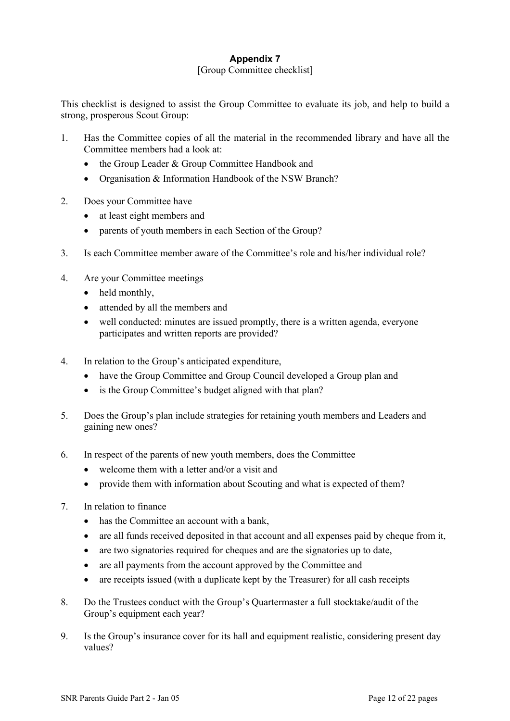# **Appendix 7**

# [Group Committee checklist]

This checklist is designed to assist the Group Committee to evaluate its job, and help to build a strong, prosperous Scout Group:

- 1. Has the Committee copies of all the material in the recommended library and have all the Committee members had a look at:
	- the Group Leader & Group Committee Handbook and
	- Organisation & Information Handbook of the NSW Branch?
- 2. Does your Committee have
	- at least eight members and
	- parents of youth members in each Section of the Group?
- 3. Is each Committee member aware of the Committee's role and his/her individual role?
- 4. Are your Committee meetings
	- held monthly,
	- attended by all the members and
	- well conducted: minutes are issued promptly, there is a written agenda, everyone participates and written reports are provided?
- 4. In relation to the Group's anticipated expenditure,
	- have the Group Committee and Group Council developed a Group plan and
	- is the Group Committee's budget aligned with that plan?
- 5. Does the Group's plan include strategies for retaining youth members and Leaders and gaining new ones?
- 6. In respect of the parents of new youth members, does the Committee
	- welcome them with a letter and/or a visit and
	- provide them with information about Scouting and what is expected of them?
- 7. In relation to finance
	- has the Committee an account with a bank.
	- are all funds received deposited in that account and all expenses paid by cheque from it,
	- are two signatories required for cheques and are the signatories up to date.
	- are all payments from the account approved by the Committee and
	- are receipts issued (with a duplicate kept by the Treasurer) for all cash receipts
- 8. Do the Trustees conduct with the Group's Quartermaster a full stocktake/audit of the Group's equipment each year?
- 9. Is the Group's insurance cover for its hall and equipment realistic, considering present day values?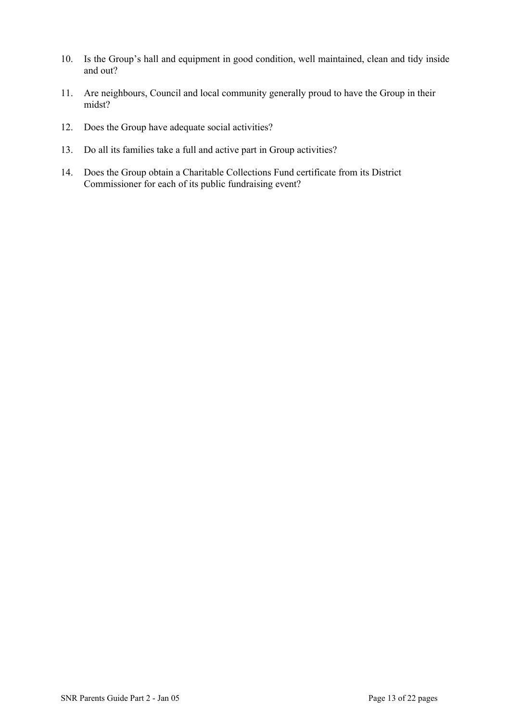- 10. Is the Group's hall and equipment in good condition, well maintained, clean and tidy inside and out?
- 11. Are neighbours, Council and local community generally proud to have the Group in their midst?
- 12. Does the Group have adequate social activities?
- 13. Do all its families take a full and active part in Group activities?
- 14. Does the Group obtain a Charitable Collections Fund certificate from its District Commissioner for each of its public fundraising event?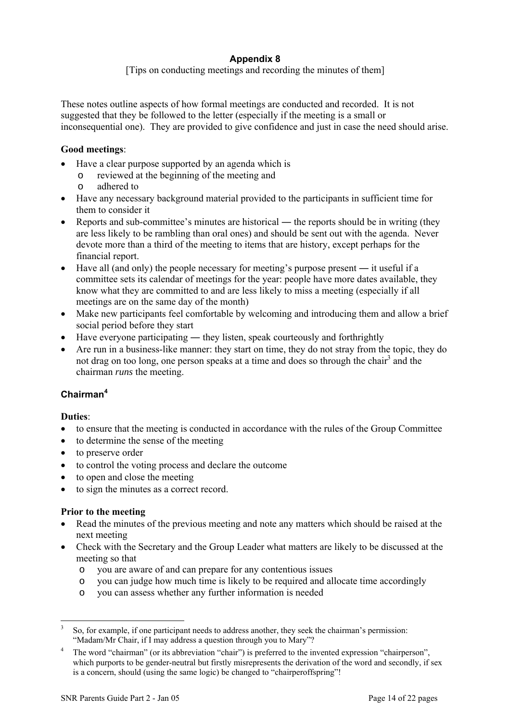# **Appendix 8**

[Tips on conducting meetings and recording the minutes of them]

These notes outline aspects of how formal meetings are conducted and recorded. It is not suggested that they be followed to the letter (especially if the meeting is a small or inconsequential one). They are provided to give confidence and just in case the need should arise.

# **Good meetings**:

- Have a clear purpose supported by an agenda which is
	- o reviewed at the beginning of the meeting and
	- o adhered to
- Have any necessary background material provided to the participants in sufficient time for them to consider it
- Reports and sub-committee's minutes are historical the reports should be in writing (they are less likely to be rambling than oral ones) and should be sent out with the agenda. Never devote more than a third of the meeting to items that are history, except perhaps for the financial report.
- Have all (and only) the people necessary for meeting's purpose present it useful if a committee sets its calendar of meetings for the year: people have more dates available, they know what they are committed to and are less likely to miss a meeting (especially if all meetings are on the same day of the month)
- Make new participants feel comfortable by welcoming and introducing them and allow a brief social period before they start
- Have everyone participating they listen, speak courteously and forthrightly
- Are run in a business-like manner: they start on time, they do not stray from the topic, they do not drag on too long, one person speaks at a time and does so through the chair<sup>[3](#page-13-0)</sup> and the chairman *runs* the meeting.

# **Chairman[4](#page-13-1)**

# **Duties**:

- to ensure that the meeting is conducted in accordance with the rules of the Group Committee
- to determine the sense of the meeting
- to preserve order
- to control the voting process and declare the outcome
- to open and close the meeting
- to sign the minutes as a correct record.

# **Prior to the meeting**

- Read the minutes of the previous meeting and note any matters which should be raised at the next meeting
- Check with the Secretary and the Group Leader what matters are likely to be discussed at the meeting so that
	- o you are aware of and can prepare for any contentious issues
	- o you can judge how much time is likely to be required and allocate time accordingly
	- o you can assess whether any further information is needed

<span id="page-13-0"></span> <sup>3</sup> So, for example, if one participant needs to address another, they seek the chairman's permission: "Madam/Mr Chair, if I may address a question through you to Mary"?

<span id="page-13-1"></span>The word "chairman" (or its abbreviation "chair") is preferred to the invented expression "chairperson", which purports to be gender-neutral but firstly misrepresents the derivation of the word and secondly, if sex is a concern, should (using the same logic) be changed to "chairperoffspring"!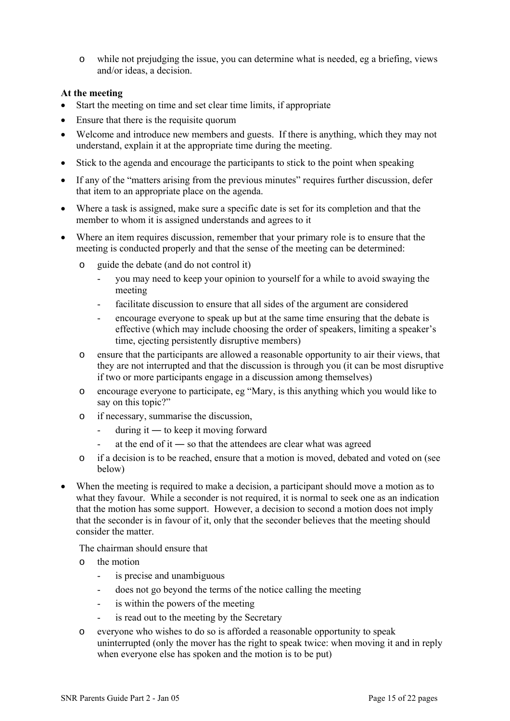o while not prejudging the issue, you can determine what is needed, eg a briefing, views and/or ideas, a decision.

# **At the meeting**

- Start the meeting on time and set clear time limits, if appropriate
- Ensure that there is the requisite quorum
- Welcome and introduce new members and guests. If there is anything, which they may not understand, explain it at the appropriate time during the meeting.
- Stick to the agenda and encourage the participants to stick to the point when speaking
- If any of the "matters arising from the previous minutes" requires further discussion, defer that item to an appropriate place on the agenda.
- Where a task is assigned, make sure a specific date is set for its completion and that the member to whom it is assigned understands and agrees to it
- Where an item requires discussion, remember that your primary role is to ensure that the meeting is conducted properly and that the sense of the meeting can be determined:
	- o guide the debate (and do not control it)
		- you may need to keep your opinion to yourself for a while to avoid swaying the meeting
		- facilitate discussion to ensure that all sides of the argument are considered
		- encourage everyone to speak up but at the same time ensuring that the debate is effective (which may include choosing the order of speakers, limiting a speaker's time, ejecting persistently disruptive members)
	- o ensure that the participants are allowed a reasonable opportunity to air their views, that they are not interrupted and that the discussion is through you (it can be most disruptive if two or more participants engage in a discussion among themselves)
	- o encourage everyone to participate, eg "Mary, is this anything which you would like to say on this topic?"
	- o if necessary, summarise the discussion,
		- $\frac{1}{2}$  during it to keep it moving forward
		- at the end of it so that the attendees are clear what was agreed
	- o if a decision is to be reached, ensure that a motion is moved, debated and voted on (see below)
- When the meeting is required to make a decision, a participant should move a motion as to what they favour. While a seconder is not required, it is normal to seek one as an indication that the motion has some support. However, a decision to second a motion does not imply that the seconder is in favour of it, only that the seconder believes that the meeting should consider the matter.

The chairman should ensure that

- o the motion
	- is precise and unambiguous
	- does not go beyond the terms of the notice calling the meeting
	- is within the powers of the meeting
	- is read out to the meeting by the Secretary
- o everyone who wishes to do so is afforded a reasonable opportunity to speak uninterrupted (only the mover has the right to speak twice: when moving it and in reply when everyone else has spoken and the motion is to be put)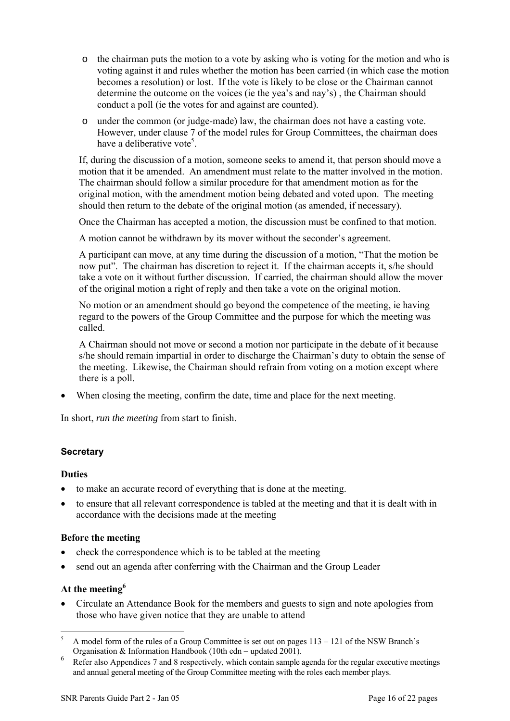- o the chairman puts the motion to a vote by asking who is voting for the motion and who is voting against it and rules whether the motion has been carried (in which case the motion becomes a resolution) or lost. If the vote is likely to be close or the Chairman cannot determine the outcome on the voices (ie the yea's and nay's) , the Chairman should conduct a poll (ie the votes for and against are counted).
- o under the common (or judge-made) law, the chairman does not have a casting vote. However, under clause 7 of the model rules for Group Committees, the chairman does have a deliberative vote<sup>5</sup>.

If, during the discussion of a motion, someone seeks to amend it, that person should move a motion that it be amended. An amendment must relate to the matter involved in the motion. The chairman should follow a similar procedure for that amendment motion as for the original motion, with the amendment motion being debated and voted upon. The meeting should then return to the debate of the original motion (as amended, if necessary).

Once the Chairman has accepted a motion, the discussion must be confined to that motion.

A motion cannot be withdrawn by its mover without the seconder's agreement.

A participant can move, at any time during the discussion of a motion, "That the motion be now put". The chairman has discretion to reject it. If the chairman accepts it, s/he should take a vote on it without further discussion. If carried, the chairman should allow the mover of the original motion a right of reply and then take a vote on the original motion.

No motion or an amendment should go beyond the competence of the meeting, ie having regard to the powers of the Group Committee and the purpose for which the meeting was called.

A Chairman should not move or second a motion nor participate in the debate of it because s/he should remain impartial in order to discharge the Chairman's duty to obtain the sense of the meeting. Likewise, the Chairman should refrain from voting on a motion except where there is a poll.

• When closing the meeting, confirm the date, time and place for the next meeting.

In short, *run the meeting* from start to finish.

# **Secretary**

# **Duties**

- to make an accurate record of everything that is done at the meeting.
- to ensure that all relevant correspondence is tabled at the meeting and that it is dealt with in accordance with the decisions made at the meeting

# **Before the meeting**

- check the correspondence which is to be tabled at the meeting
- send out an agenda after conferring with the Chairman and the Group Leader

# **At the meetin[g6](#page-15-1)**

• Circulate an Attendance Book for the members and guests to sign and note apologies from those who have given notice that they are unable to attend

<span id="page-15-0"></span> <sup>5</sup> A model form of the rules of a Group Committee is set out on pages 113 – 121 of the NSW Branch's Organisation & Information Handbook (10th edn – updated 2001).

<span id="page-15-1"></span>Refer also Appendices 7 and 8 respectively, which contain sample agenda for the regular executive meetings and annual general meeting of the Group Committee meeting with the roles each member plays.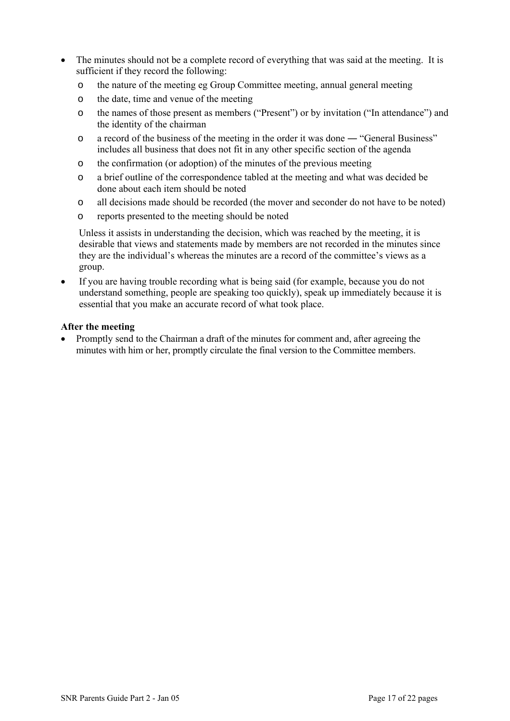- The minutes should not be a complete record of everything that was said at the meeting. It is sufficient if they record the following:
	- o the nature of the meeting eg Group Committee meeting, annual general meeting
	- o the date, time and venue of the meeting
	- o the names of those present as members ("Present") or by invitation ("In attendance") and the identity of the chairman
	- o a record of the business of the meeting in the order it was done ― "General Business" includes all business that does not fit in any other specific section of the agenda
	- o the confirmation (or adoption) of the minutes of the previous meeting
	- o a brief outline of the correspondence tabled at the meeting and what was decided be done about each item should be noted
	- o all decisions made should be recorded (the mover and seconder do not have to be noted)
	- o reports presented to the meeting should be noted

Unless it assists in understanding the decision, which was reached by the meeting, it is desirable that views and statements made by members are not recorded in the minutes since they are the individual's whereas the minutes are a record of the committee's views as a group.

If you are having trouble recording what is being said (for example, because you do not understand something, people are speaking too quickly), speak up immediately because it is essential that you make an accurate record of what took place.

# **After the meeting**

• Promptly send to the Chairman a draft of the minutes for comment and, after agreeing the minutes with him or her, promptly circulate the final version to the Committee members.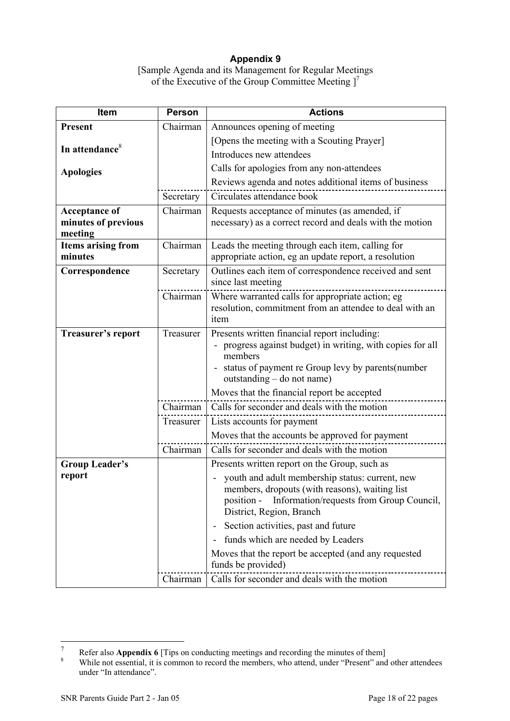# **Appendix 9**

[Sample Agenda and its Management for Regular Meetings of the Executive of the Group Committee Meeting  $]^{7}$ 

| Item                                 | <b>Person</b> | <b>Actions</b>                                                                                           |
|--------------------------------------|---------------|----------------------------------------------------------------------------------------------------------|
| <b>Present</b>                       | Chairman      | Announces opening of meeting                                                                             |
|                                      |               | [Opens the meeting with a Scouting Prayer]                                                               |
| In attendance <sup>8</sup>           |               | Introduces new attendees                                                                                 |
| <b>Apologies</b>                     |               | Calls for apologies from any non-attendees                                                               |
|                                      |               | Reviews agenda and notes additional items of business                                                    |
|                                      | Secretary     | Circulates attendance book                                                                               |
| <b>Acceptance of</b>                 | Chairman      | Requests acceptance of minutes (as amended, if                                                           |
| minutes of previous                  |               | necessary) as a correct record and deals with the motion                                                 |
| meeting<br><b>Items arising from</b> | Chairman      | Leads the meeting through each item, calling for                                                         |
| minutes                              |               | appropriate action, eg an update report, a resolution                                                    |
| Correspondence                       | Secretary     | Outlines each item of correspondence received and sent                                                   |
|                                      |               | since last meeting                                                                                       |
|                                      | Chairman      | Where warranted calls for appropriate action; eg                                                         |
|                                      |               | resolution, commitment from an attendee to deal with an                                                  |
|                                      |               | item                                                                                                     |
| <b>Treasurer's report</b>            | Treasurer     | Presents written financial report including:<br>progress against budget) in writing, with copies for all |
|                                      |               | $\overline{\phantom{a}}$<br>members                                                                      |
|                                      |               | status of payment re Group levy by parents (number                                                       |
|                                      |               | outstanding – do not name)                                                                               |
|                                      |               | Moves that the financial report be accepted                                                              |
|                                      | Chairman      | Calls for seconder and deals with the motion                                                             |
|                                      | Treasurer     | Lists accounts for payment                                                                               |
|                                      |               | Moves that the accounts be approved for payment                                                          |
|                                      | Chairman      | Calls for seconder and deals with the motion                                                             |
| <b>Group Leader's</b>                |               | Presents written report on the Group, such as                                                            |
| report                               |               | youth and adult membership status: current, new                                                          |
|                                      |               | members, dropouts (with reasons), waiting list<br>Information/requests from Group Council,<br>position - |
|                                      |               | District, Region, Branch                                                                                 |
|                                      |               | Section activities, past and future<br>$\qquad \qquad \blacksquare$                                      |
|                                      |               | funds which are needed by Leaders                                                                        |
|                                      |               | Moves that the report be accepted (and any requested                                                     |
|                                      |               | funds be provided)                                                                                       |
|                                      | Chairman      | Calls for seconder and deals with the motion                                                             |

<span id="page-17-0"></span> $\overline{7}$ 

<span id="page-17-1"></span>Refer also **Appendix 6** [Tips on conducting meetings and recording the minutes of them]<br><sup>8</sup> While not essential, it is common to record the members, who attend, under "Present" and other attendees under "In attendance".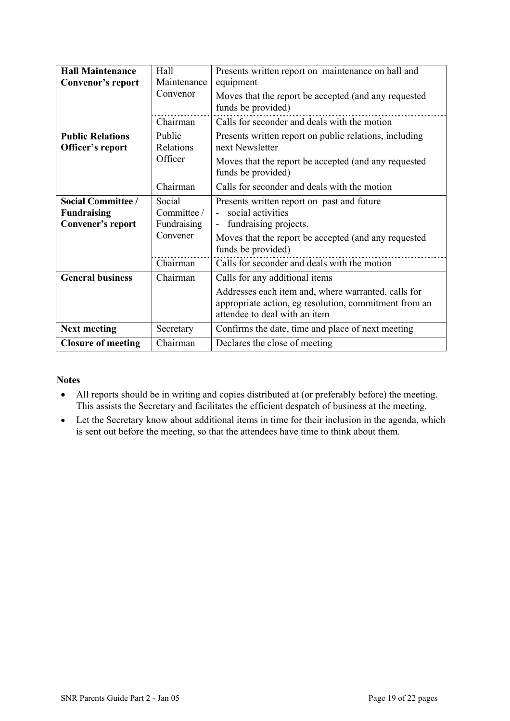| <b>Hall Maintenance</b><br>Convenor's report                         | Hall<br>Maintenance                              | Presents written report on maintenance on hall and<br>equipment                                                                                                                 |
|----------------------------------------------------------------------|--------------------------------------------------|---------------------------------------------------------------------------------------------------------------------------------------------------------------------------------|
|                                                                      | Convenor                                         | Moves that the report be accepted (and any requested<br>funds be provided)                                                                                                      |
|                                                                      | Chairman                                         | Calls for seconder and deals with the motion                                                                                                                                    |
| <b>Public Relations</b><br>Officer's report                          | Public<br>Relations<br>Officer                   | Presents written report on public relations, including<br>next Newsletter<br>Moves that the report be accepted (and any requested<br>funds be provided)                         |
|                                                                      | Chairman                                         | Calls for seconder and deals with the motion                                                                                                                                    |
| <b>Social Committee /</b><br><b>Fundraising</b><br>Convener's report | Social<br>Committee /<br>Fundraising<br>Convener | Presents written report on past and future<br>social activities<br>fundraising projects.<br>Moves that the report be accepted (and any requested<br>funds be provided)          |
|                                                                      | Chairman                                         | Calls for seconder and deals with the motion                                                                                                                                    |
| <b>General business</b>                                              | Chairman                                         | Calls for any additional items<br>Addresses each item and, where warranted, calls for<br>appropriate action, eg resolution, commitment from an<br>attendee to deal with an item |
| <b>Next meeting</b>                                                  | Secretary                                        | Confirms the date, time and place of next meeting                                                                                                                               |
| <b>Closure of meeting</b>                                            | Chairman                                         | Declares the close of meeting                                                                                                                                                   |

# **Notes**

- All reports should be in writing and copies distributed at (or preferably before) the meeting. This assists the Secretary and facilitates the efficient despatch of business at the meeting.
- Let the Secretary know about additional items in time for their inclusion in the agenda, which is sent out before the meeting, so that the attendees have time to think about them.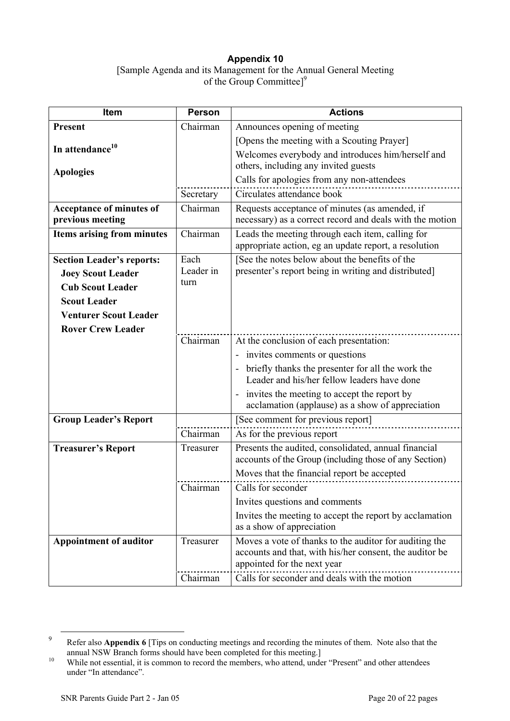# **Appendix 10**  [Sample Agenda and its Management for the Annual General Meeting of the Group Committee<sup>1[9](#page-19-0)</sup>

| Item                                         | <b>Person</b> | <b>Actions</b>                                                                                                                                   |
|----------------------------------------------|---------------|--------------------------------------------------------------------------------------------------------------------------------------------------|
| Present                                      | Chairman      | Announces opening of meeting                                                                                                                     |
|                                              |               | [Opens the meeting with a Scouting Prayer]                                                                                                       |
| In attendance <sup>10</sup>                  |               | Welcomes everybody and introduces him/herself and<br>others, including any invited guests                                                        |
| <b>Apologies</b>                             |               | Calls for apologies from any non-attendees                                                                                                       |
|                                              | Secretary     | Circulates attendance book                                                                                                                       |
| Acceptance of minutes of<br>previous meeting | Chairman      | Requests acceptance of minutes (as amended, if<br>necessary) as a correct record and deals with the motion                                       |
| <b>Items arising from minutes</b>            | Chairman      | Leads the meeting through each item, calling for                                                                                                 |
|                                              |               | appropriate action, eg an update report, a resolution                                                                                            |
| <b>Section Leader's reports:</b>             | Each          | [See the notes below about the benefits of the                                                                                                   |
| <b>Joey Scout Leader</b>                     | Leader in     | presenter's report being in writing and distributed]                                                                                             |
| <b>Cub Scout Leader</b>                      | turn          |                                                                                                                                                  |
| <b>Scout Leader</b>                          |               |                                                                                                                                                  |
| <b>Venturer Scout Leader</b>                 |               |                                                                                                                                                  |
| <b>Rover Crew Leader</b>                     |               |                                                                                                                                                  |
|                                              | Chairman      | At the conclusion of each presentation:                                                                                                          |
|                                              |               | - invites comments or questions                                                                                                                  |
|                                              |               | briefly thanks the presenter for all the work the<br>Leader and his/her fellow leaders have done                                                 |
|                                              |               | invites the meeting to accept the report by<br>acclamation (applause) as a show of appreciation                                                  |
| <b>Group Leader's Report</b>                 |               | [See comment for previous report]                                                                                                                |
|                                              | Chairman      | As for the previous report                                                                                                                       |
| <b>Treasurer's Report</b>                    | Treasurer     | Presents the audited, consolidated, annual financial<br>accounts of the Group (including those of any Section)                                   |
|                                              |               | Moves that the financial report be accepted                                                                                                      |
|                                              | Chairman      | Calls for seconder                                                                                                                               |
|                                              |               | Invites questions and comments                                                                                                                   |
|                                              |               | Invites the meeting to accept the report by acclamation<br>as a show of appreciation                                                             |
| <b>Appointment of auditor</b>                | Treasurer     | Moves a vote of thanks to the auditor for auditing the<br>accounts and that, with his/her consent, the auditor be<br>appointed for the next year |
|                                              | Chairman      | Calls for seconder and deals with the motion                                                                                                     |

<span id="page-19-0"></span><sup>&</sup>lt;sup>9</sup> Refer also **Appendix 6** [Tips on conducting meetings and recording the minutes of them. Note also that the annual NSW Branch forms should have been completed for this meeting.]

<span id="page-19-1"></span><sup>&</sup>lt;sup>10</sup> While not essential, it is common to record the members, who attend, under "Present" and other attendees under "In attendance".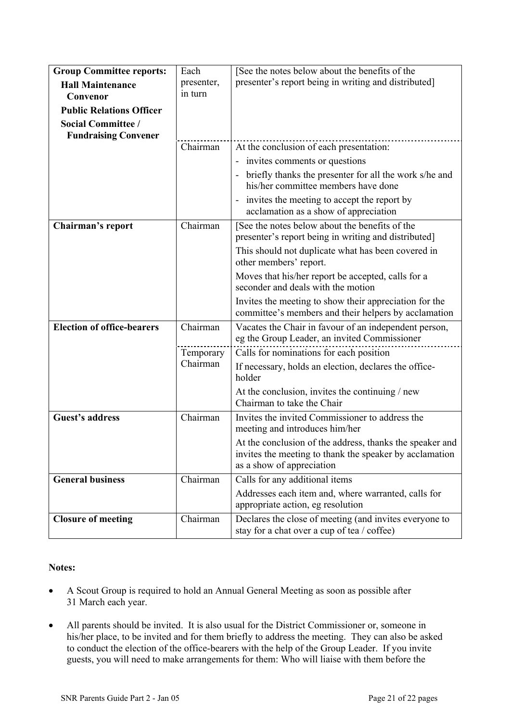| <b>Group Committee reports:</b>                          | Each                  | [See the notes below about the benefits of the                                                                                                   |
|----------------------------------------------------------|-----------------------|--------------------------------------------------------------------------------------------------------------------------------------------------|
| <b>Hall Maintenance</b>                                  | presenter,            | presenter's report being in writing and distributed]                                                                                             |
| Convenor                                                 | in turn               |                                                                                                                                                  |
| <b>Public Relations Officer</b>                          |                       |                                                                                                                                                  |
| <b>Social Committee /</b><br><b>Fundraising Convener</b> |                       |                                                                                                                                                  |
|                                                          | Chairman              | At the conclusion of each presentation:                                                                                                          |
|                                                          |                       | - invites comments or questions                                                                                                                  |
|                                                          |                       | briefly thanks the presenter for all the work s/he and<br>his/her committee members have done                                                    |
|                                                          |                       | invites the meeting to accept the report by<br>acclamation as a show of appreciation                                                             |
| Chairman's report                                        | Chairman              | [See the notes below about the benefits of the<br>presenter's report being in writing and distributed]                                           |
|                                                          |                       | This should not duplicate what has been covered in<br>other members' report.                                                                     |
|                                                          |                       | Moves that his/her report be accepted, calls for a<br>seconder and deals with the motion                                                         |
|                                                          |                       | Invites the meeting to show their appreciation for the<br>committee's members and their helpers by acclamation                                   |
| <b>Election of office-bearers</b>                        | Chairman              | Vacates the Chair in favour of an independent person,<br>eg the Group Leader, an invited Commissioner                                            |
|                                                          | Temporary<br>Chairman | Calls for nominations for each position                                                                                                          |
|                                                          |                       | If necessary, holds an election, declares the office-<br>holder                                                                                  |
|                                                          |                       | At the conclusion, invites the continuing / new<br>Chairman to take the Chair                                                                    |
| <b>Guest's address</b>                                   | Chairman              | Invites the invited Commissioner to address the<br>meeting and introduces him/her                                                                |
|                                                          |                       | At the conclusion of the address, thanks the speaker and<br>invites the meeting to thank the speaker by acclamation<br>as a show of appreciation |
| <b>General business</b>                                  | Chairman              | Calls for any additional items                                                                                                                   |
|                                                          |                       | Addresses each item and, where warranted, calls for<br>appropriate action, eg resolution                                                         |
| <b>Closure of meeting</b>                                | Chairman              | Declares the close of meeting (and invites everyone to<br>stay for a chat over a cup of tea / coffee)                                            |

# **Notes:**

- A Scout Group is required to hold an Annual General Meeting as soon as possible after 31 March each year.
- All parents should be invited. It is also usual for the District Commissioner or, someone in his/her place, to be invited and for them briefly to address the meeting. They can also be asked to conduct the election of the office-bearers with the help of the Group Leader. If you invite guests, you will need to make arrangements for them: Who will liaise with them before the